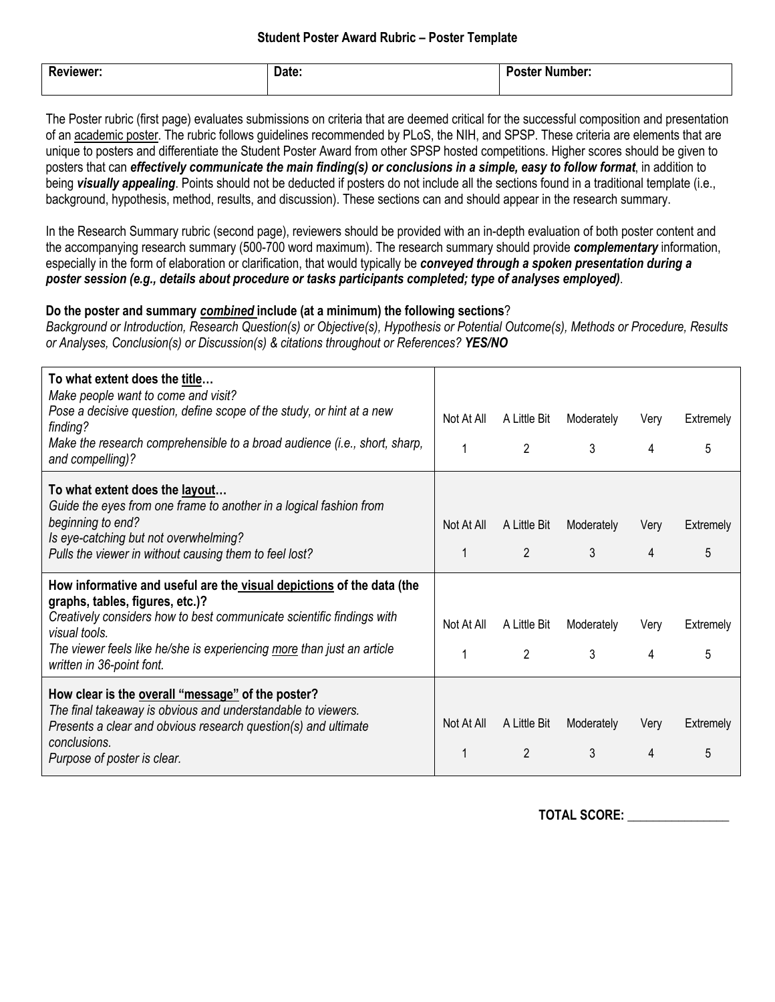| <b>Reviewer:</b> | Date: | . .<br><b>Poster Number:</b> |
|------------------|-------|------------------------------|
|                  |       |                              |

The Poster rubric (first page) evaluates submissions on criteria that are deemed critical for the successful composition and presentation of an academic poster. The rubric follows guidelines recommended by PLoS, the NIH, and SPSP. These criteria are elements that are unique to posters and differentiate the Student Poster Award from other SPSP hosted competitions. Higher scores should be given to posters that can *effectively communicate the main finding(s) or conclusions in a simple, easy to follow format*, in addition to being *visually appealing*. Points should not be deducted if posters do not include all the sections found in a traditional template (i.e., background, hypothesis, method, results, and discussion). These sections can and should appear in the research summary.

In the Research Summary rubric (second page), reviewers should be provided with an in-depth evaluation of both poster content and the accompanying research summary (500-700 word maximum). The research summary should provide *complementary* information, especially in the form of elaboration or clarification, that would typically be *conveyed through a spoken presentation during a poster session (e.g., details about procedure or tasks participants completed; type of analyses employed)*.

## **Do the poster and summary** *combined* **include (at a minimum) the following sections**?

*Background or Introduction, Research Question(s) or Objective(s), Hypothesis or Potential Outcome(s), Methods or Procedure, Results or Analyses, Conclusion(s) or Discussion(s) & citations throughout or References? YES/NO*

| To what extent does the title<br>Make people want to come and visit?<br>Pose a decisive question, define scope of the study, or hint at a new<br>finding?<br>Make the research comprehensible to a broad audience (i.e., short, sharp,<br>and compelling)?                                                | Not At All      | A Little Bit<br>$\overline{2}$ | Moderately<br>3 | Very<br>4 | Extremely<br>5 |
|-----------------------------------------------------------------------------------------------------------------------------------------------------------------------------------------------------------------------------------------------------------------------------------------------------------|-----------------|--------------------------------|-----------------|-----------|----------------|
| To what extent does the layout<br>Guide the eyes from one frame to another in a logical fashion from<br>beginning to end?<br>Is eye-catching but not overwhelming?<br>Pulls the viewer in without causing them to feel lost?                                                                              | Not At All<br>1 | A Little Bit<br>$\overline{2}$ | Moderately<br>3 | Very<br>4 | Extremely<br>5 |
| How informative and useful are the visual depictions of the data (the<br>graphs, tables, figures, etc.)?<br>Creatively considers how to best communicate scientific findings with<br>visual tools.<br>The viewer feels like he/she is experiencing more than just an article<br>written in 36-point font. | Not At All      | A Little Bit<br>$\mathcal{P}$  | Moderately<br>3 | Very<br>4 | Extremely<br>5 |
| How clear is the overall "message" of the poster?<br>The final takeaway is obvious and understandable to viewers.<br>Presents a clear and obvious research question(s) and ultimate<br>conclusions.<br>Purpose of poster is clear.                                                                        | Not At All      | A Little Bit<br>$\overline{2}$ | Moderately<br>3 | Verv<br>4 | Extremely<br>5 |

**TOTAL SCORE: \_\_\_\_\_\_\_\_\_\_\_\_\_\_\_\_**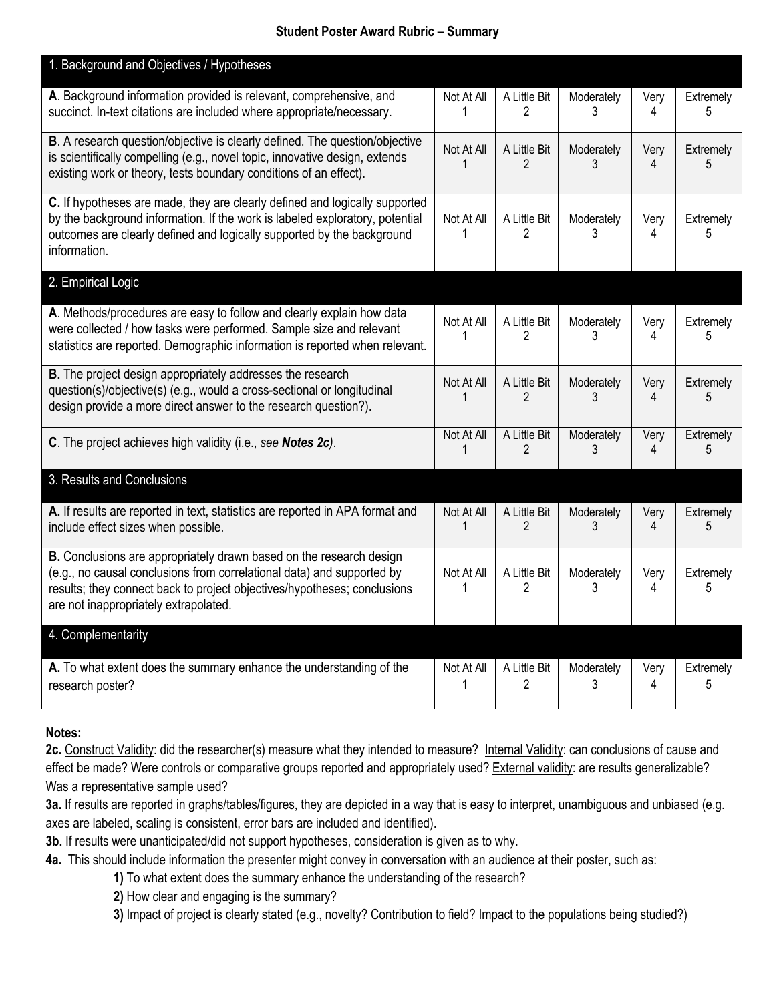## **Student Poster Award Rubric – Summary**

| 1. Background and Objectives / Hypotheses                                                                                                                                                                                                                          |                 |                                |                 |           |                |
|--------------------------------------------------------------------------------------------------------------------------------------------------------------------------------------------------------------------------------------------------------------------|-----------------|--------------------------------|-----------------|-----------|----------------|
| A. Background information provided is relevant, comprehensive, and<br>succinct. In-text citations are included where appropriate/necessary.                                                                                                                        | Not At All<br>1 | A Little Bit<br>2              | Moderately<br>3 | Very<br>4 | Extremely<br>5 |
| B. A research question/objective is clearly defined. The question/objective<br>is scientifically compelling (e.g., novel topic, innovative design, extends<br>existing work or theory, tests boundary conditions of an effect).                                    | Not At All<br>1 | A Little Bit<br>2              | Moderately<br>3 | Very<br>4 | Extremely<br>5 |
| C. If hypotheses are made, they are clearly defined and logically supported<br>by the background information. If the work is labeled exploratory, potential<br>outcomes are clearly defined and logically supported by the background<br>information.              | Not At All<br>1 | A Little Bit<br>2              | Moderately<br>3 | Very<br>4 | Extremely<br>5 |
| 2. Empirical Logic                                                                                                                                                                                                                                                 |                 |                                |                 |           |                |
| A. Methods/procedures are easy to follow and clearly explain how data<br>were collected / how tasks were performed. Sample size and relevant<br>statistics are reported. Demographic information is reported when relevant.                                        | Not At All      | A Little Bit<br>2              | Moderately<br>3 | Very<br>4 | Extremely<br>5 |
| B. The project design appropriately addresses the research<br>question(s)/objective(s) (e.g., would a cross-sectional or longitudinal<br>design provide a more direct answer to the research question?).                                                           | Not At All<br>1 | A Little Bit<br>2              | Moderately<br>3 | Very<br>4 | Extremely<br>5 |
| C. The project achieves high validity (i.e., see Notes 2c).                                                                                                                                                                                                        | Not At All<br>1 | A Little Bit<br>$\overline{2}$ | Moderately<br>3 | Very<br>4 | Extremely<br>5 |
| 3. Results and Conclusions                                                                                                                                                                                                                                         |                 |                                |                 |           |                |
| A. If results are reported in text, statistics are reported in APA format and<br>include effect sizes when possible.                                                                                                                                               | Not At All<br>1 | A Little Bit<br>2              | Moderately<br>3 | Very<br>4 | Extremely<br>5 |
| B. Conclusions are appropriately drawn based on the research design<br>(e.g., no causal conclusions from correlational data) and supported by<br>results; they connect back to project objectives/hypotheses; conclusions<br>are not inappropriately extrapolated. | Not At All      | A Little Bit<br>2              | Moderately<br>3 | Very<br>4 | Extremely<br>5 |
| 4. Complementarity                                                                                                                                                                                                                                                 |                 |                                |                 |           |                |
| A. To what extent does the summary enhance the understanding of the<br>research poster?                                                                                                                                                                            | Not At All<br>1 | A Little Bit<br>$\overline{2}$ | Moderately<br>3 | Very<br>4 | Extremely<br>5 |

## **Notes:**

2c. Construct Validity: did the researcher(s) measure what they intended to measure? Internal Validity: can conclusions of cause and effect be made? Were controls or comparative groups reported and appropriately used? External validity: are results generalizable? Was a representative sample used?

**3a.** If results are reported in graphs/tables/figures, they are depicted in a way that is easy to interpret, unambiguous and unbiased (e.g. axes are labeled, scaling is consistent, error bars are included and identified).

**3b.** If results were unanticipated/did not support hypotheses, consideration is given as to why.

- **4a.** This should include information the presenter might convey in conversation with an audience at their poster, such as:
	- **1)** To what extent does the summary enhance the understanding of the research?

**2)** How clear and engaging is the summary?

**3)** Impact of project is clearly stated (e.g., novelty? Contribution to field? Impact to the populations being studied?)